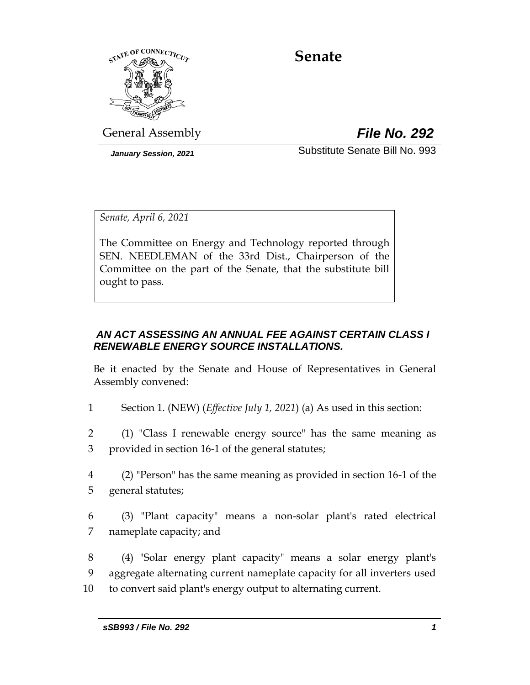

# **Senate**

General Assembly *File No. 292*

*January Session, 2021* Substitute Senate Bill No. 993

*Senate, April 6, 2021*

The Committee on Energy and Technology reported through SEN. NEEDLEMAN of the 33rd Dist., Chairperson of the Committee on the part of the Senate, that the substitute bill ought to pass.

## *AN ACT ASSESSING AN ANNUAL FEE AGAINST CERTAIN CLASS I RENEWABLE ENERGY SOURCE INSTALLATIONS.*

Be it enacted by the Senate and House of Representatives in General Assembly convened:

1 Section 1. (NEW) (*Effective July 1, 2021*) (a) As used in this section:

2 (1) "Class I renewable energy source" has the same meaning as 3 provided in section 16-1 of the general statutes;

- 4 (2) "Person" has the same meaning as provided in section 16-1 of the 5 general statutes;
- 6 (3) "Plant capacity" means a non-solar plant's rated electrical 7 nameplate capacity; and

8 (4) "Solar energy plant capacity" means a solar energy plant's 9 aggregate alternating current nameplate capacity for all inverters used 10 to convert said plant's energy output to alternating current.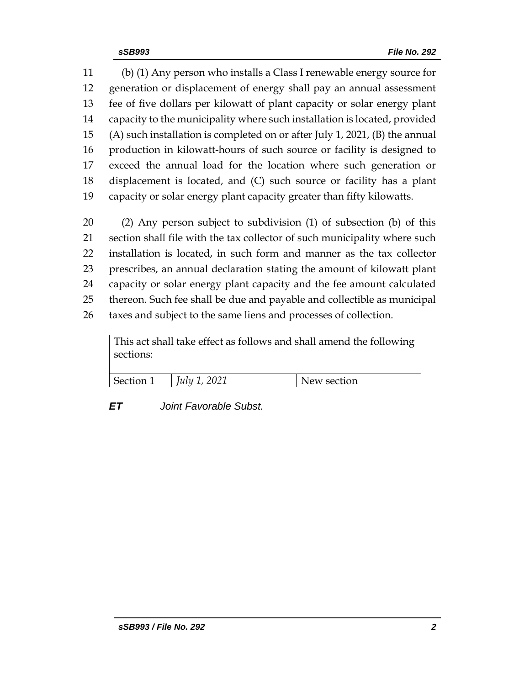(b) (1) Any person who installs a Class I renewable energy source for generation or displacement of energy shall pay an annual assessment fee of five dollars per kilowatt of plant capacity or solar energy plant capacity to the municipality where such installation is located, provided (A) such installation is completed on or after July 1, 2021, (B) the annual production in kilowatt-hours of such source or facility is designed to exceed the annual load for the location where such generation or displacement is located, and (C) such source or facility has a plant capacity or solar energy plant capacity greater than fifty kilowatts.

 (2) Any person subject to subdivision (1) of subsection (b) of this section shall file with the tax collector of such municipality where such installation is located, in such form and manner as the tax collector prescribes, an annual declaration stating the amount of kilowatt plant capacity or solar energy plant capacity and the fee amount calculated thereon. Such fee shall be due and payable and collectible as municipal taxes and subject to the same liens and processes of collection.

This act shall take effect as follows and shall amend the following sections:

| Section 1 | 2021<br>July 1 | ew section |
|-----------|----------------|------------|

*ET Joint Favorable Subst.*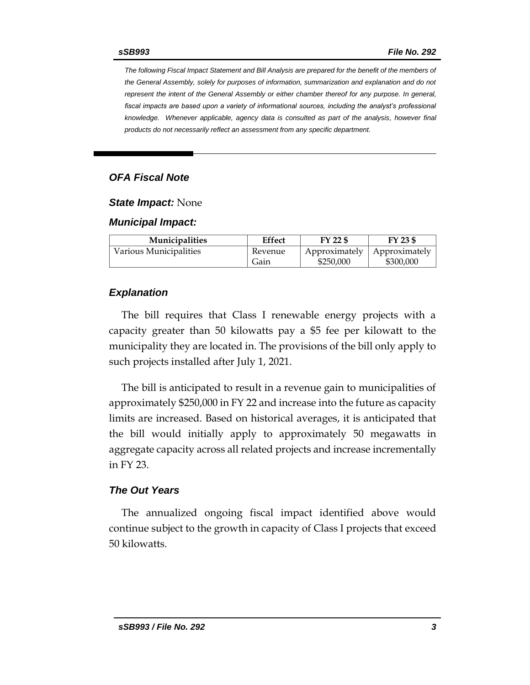*The following Fiscal Impact Statement and Bill Analysis are prepared for the benefit of the members of the General Assembly, solely for purposes of information, summarization and explanation and do not represent the intent of the General Assembly or either chamber thereof for any purpose. In general,*  fiscal impacts are based upon a variety of informational sources, including the analyst's professional *knowledge. Whenever applicable, agency data is consulted as part of the analysis, however final products do not necessarily reflect an assessment from any specific department.*

### *OFA Fiscal Note*

*State Impact:* None

#### *Municipal Impact:*

| <b>Municipalities</b>  | <b>Effect</b> | FY 22 \$      | FY 23 \$      |
|------------------------|---------------|---------------|---------------|
| Various Municipalities | Revenue       | Approximately | Approximately |
|                        | Gain          | \$250,000     | \$300,000     |

#### *Explanation*

The bill requires that Class I renewable energy projects with a capacity greater than 50 kilowatts pay a \$5 fee per kilowatt to the municipality they are located in. The provisions of the bill only apply to such projects installed after July 1, 2021.

The bill is anticipated to result in a revenue gain to municipalities of approximately \$250,000 in FY 22 and increase into the future as capacity limits are increased. Based on historical averages, it is anticipated that the bill would initially apply to approximately 50 megawatts in aggregate capacity across all related projects and increase incrementally in FY 23.

#### *The Out Years*

The annualized ongoing fiscal impact identified above would continue subject to the growth in capacity of Class I projects that exceed 50 kilowatts.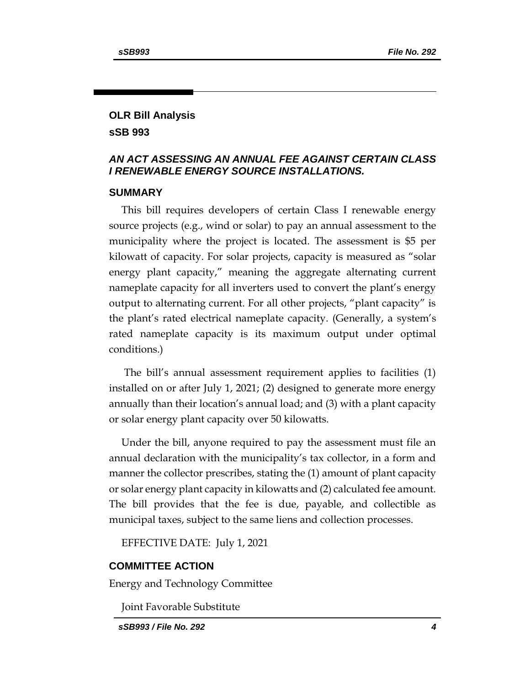## **OLR Bill Analysis sSB 993**

## *AN ACT ASSESSING AN ANNUAL FEE AGAINST CERTAIN CLASS I RENEWABLE ENERGY SOURCE INSTALLATIONS.*

#### **SUMMARY**

This bill requires developers of certain Class I renewable energy source projects (e.g., wind or solar) to pay an annual assessment to the municipality where the project is located. The assessment is \$5 per kilowatt of capacity. For solar projects, capacity is measured as "solar energy plant capacity," meaning the aggregate alternating current nameplate capacity for all inverters used to convert the plant's energy output to alternating current. For all other projects, "plant capacity" is the plant's rated electrical nameplate capacity. (Generally, a system's rated nameplate capacity is its maximum output under optimal conditions.)

The bill's annual assessment requirement applies to facilities (1) installed on or after July 1, 2021; (2) designed to generate more energy annually than their location's annual load; and (3) with a plant capacity or solar energy plant capacity over 50 kilowatts.

Under the bill, anyone required to pay the assessment must file an annual declaration with the municipality's tax collector, in a form and manner the collector prescribes, stating the (1) amount of plant capacity or solar energy plant capacity in kilowatts and (2) calculated fee amount. The bill provides that the fee is due, payable, and collectible as municipal taxes, subject to the same liens and collection processes.

EFFECTIVE DATE: July 1, 2021

#### **COMMITTEE ACTION**

Energy and Technology Committee

Joint Favorable Substitute